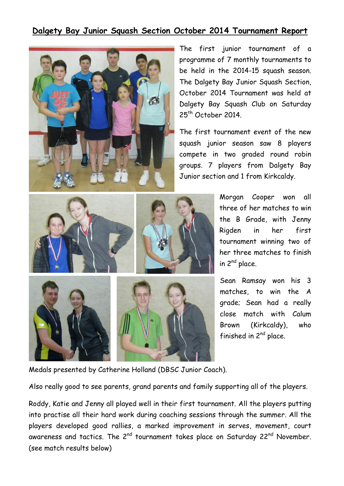## **Dalgety Bay Junior Squash Section October 2014 Tournament Report**



The first junior tournament of a programme of 7 monthly tournaments to be held in the 2014-15 squash season. The Dalgety Bay Junior Squash Section, October 2014 Tournament was held at Dalgety Bay Squash Club on Saturday 25<sup>th</sup> October 2014.

The first tournament event of the new squash junior season saw 8 players compete in two graded round robin groups. 7 players from Dalgety Bay Junior section and 1 from Kirkcaldy.



Morgan Cooper won all three of her matches to win the B Grade, with Jenny Rigden in her first tournament winning two of her three matches to finish in 2nd place.

Sean Ramsay won his 3 matches, to win the A grade; Sean had a really close match with Calum Brown (Kirkcaldy), who finished in  $2^{nd}$  place.

Medals presented by Catherine Holland (DBSC Junior Coach).

Also really good to see parents, grand parents and family supporting all of the players.

Roddy, Katie and Jenny all played well in their first tournament. All the players putting into practise all their hard work during coaching sessions through the summer. All the players developed good rallies, a marked improvement in serves, movement, court awareness and tactics. The  $2^{nd}$  tournament takes place on Saturday  $22^{nd}$  November. (see match results below)